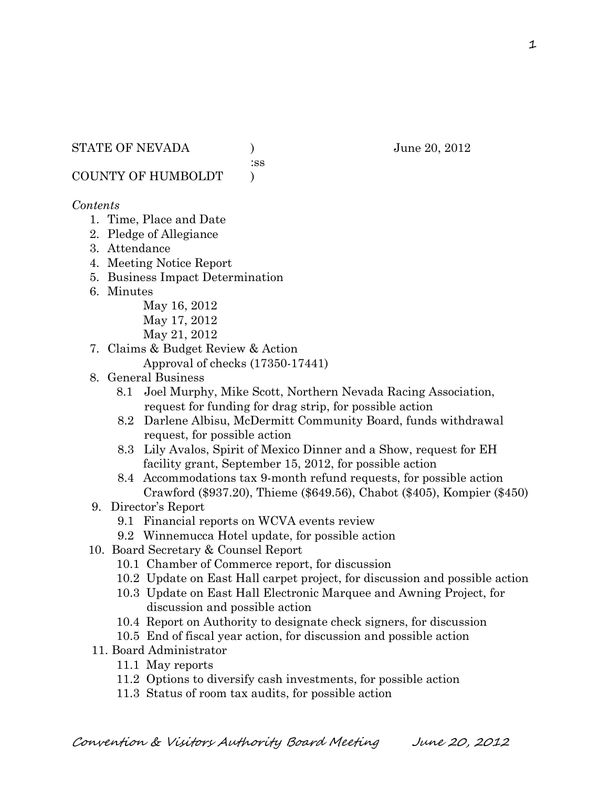:ss

COUNTY OF HUMBOLDT )

#### *Contents*

- 1. Time, Place and Date
- 2. Pledge of Allegiance
- 3. Attendance
- 4. Meeting Notice Report
- 5. Business Impact Determination
- 6. Minutes

May 16, 2012 May 17, 2012 May 21, 2012

- 7. Claims & Budget Review & Action
	- Approval of checks (17350-17441)
- 8. General Business
	- 8.1 Joel Murphy, Mike Scott, Northern Nevada Racing Association, request for funding for drag strip, for possible action
	- 8.2 Darlene Albisu, McDermitt Community Board, funds withdrawal request, for possible action
	- 8.3 Lily Avalos, Spirit of Mexico Dinner and a Show, request for EH facility grant, September 15, 2012, for possible action
	- 8.4 Accommodations tax 9-month refund requests, for possible action Crawford (\$937.20), Thieme (\$649.56), Chabot (\$405), Kompier (\$450)
- 9. Director's Report
	- 9.1 Financial reports on WCVA events review
	- 9.2 Winnemucca Hotel update, for possible action
- 10. Board Secretary & Counsel Report
	- 10.1 Chamber of Commerce report, for discussion
	- 10.2 Update on East Hall carpet project, for discussion and possible action
	- 10.3 Update on East Hall Electronic Marquee and Awning Project, for discussion and possible action
	- 10.4 Report on Authority to designate check signers, for discussion
	- 10.5 End of fiscal year action, for discussion and possible action
- 11. Board Administrator
	- 11.1 May reports
	- 11.2 Options to diversify cash investments, for possible action
	- 11.3 Status of room tax audits, for possible action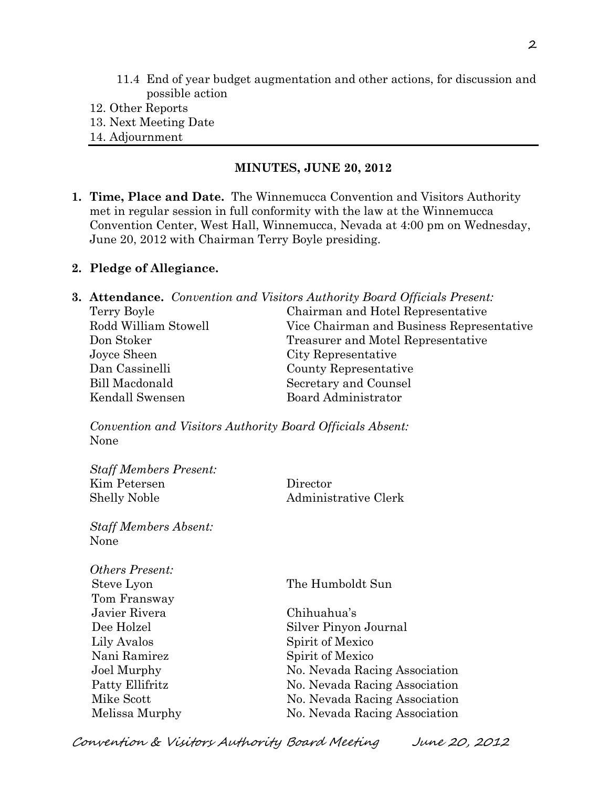- 11.4 End of year budget augmentation and other actions, for discussion and possible action
- 12. Other Reports
- 13. Next Meeting Date
- 14. Adjournment

#### **MINUTES, JUNE 20, 2012**

**1. Time, Place and Date.** The Winnemucca Convention and Visitors Authority met in regular session in full conformity with the law at the Winnemucca Convention Center, West Hall, Winnemucca, Nevada at 4:00 pm on Wednesday, June 20, 2012 with Chairman Terry Boyle presiding.

### **2. Pledge of Allegiance.**

|                      | <b>3. Attendance.</b> Convention and Visitors Authority Board Officials Present: |
|----------------------|----------------------------------------------------------------------------------|
| Terry Boyle          | Chairman and Hotel Representative                                                |
| Rodd William Stowell | Vice Chairman and Business Representative                                        |
| Don Stoker           | Treasurer and Motel Representative                                               |
| Joyce Sheen          | City Representative                                                              |
| Dan Cassinelli       | County Representative                                                            |
| Bill Macdonald       | Secretary and Counsel                                                            |
| Kendall Swensen      | Board Administrator                                                              |

*Convention and Visitors Authority Board Officials Absent:* None

| $D(u)$ includers I reserve. |                      |
|-----------------------------|----------------------|
| Kim Petersen                | Director             |
| <b>Shelly Noble</b>         | Administrative Clerk |

*Staff Members Absent:* None

*Staff Members Present:*

| <i>Others Present:</i> |                               |
|------------------------|-------------------------------|
| Steve Lyon             | The Humboldt Sun              |
| Tom Fransway           |                               |
| Javier Rivera          | Chihuahua's                   |
| Dee Holzel             | Silver Pinyon Journal         |
| Lily Avalos            | Spirit of Mexico              |
| Nani Ramirez           | Spirit of Mexico              |
| Joel Murphy            | No. Nevada Racing Association |
| Patty Ellifritz        | No. Nevada Racing Association |
| Mike Scott             | No. Nevada Racing Association |
| Melissa Murphy         | No. Nevada Racing Association |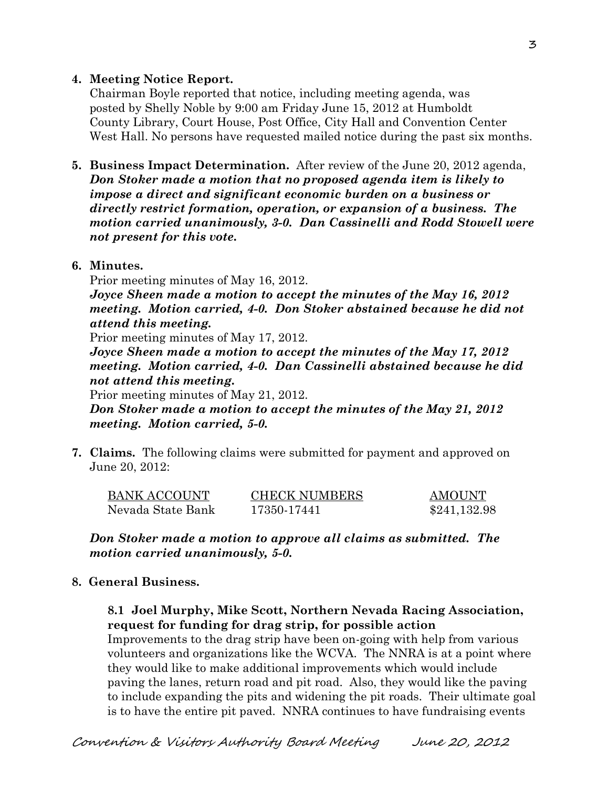### **4. Meeting Notice Report.**

Chairman Boyle reported that notice, including meeting agenda, was posted by Shelly Noble by 9:00 am Friday June 15, 2012 at Humboldt County Library, Court House, Post Office, City Hall and Convention Center West Hall. No persons have requested mailed notice during the past six months.

**5. Business Impact Determination.** After review of the June 20, 2012 agenda, *Don Stoker made a motion that no proposed agenda item is likely to impose a direct and significant economic burden on a business or directly restrict formation, operation, or expansion of a business. The motion carried unanimously, 3-0. Dan Cassinelli and Rodd Stowell were not present for this vote.*

### **6. Minutes.**

Prior meeting minutes of May 16, 2012.

*Joyce Sheen made a motion to accept the minutes of the May 16, 2012 meeting. Motion carried, 4-0. Don Stoker abstained because he did not attend this meeting.* 

Prior meeting minutes of May 17, 2012.

*Joyce Sheen made a motion to accept the minutes of the May 17, 2012 meeting. Motion carried, 4-0. Dan Cassinelli abstained because he did not attend this meeting.*

Prior meeting minutes of May 21, 2012.

*Don Stoker made a motion to accept the minutes of the May 21, 2012 meeting. Motion carried, 5-0.*

**7. Claims.** The following claims were submitted for payment and approved on June 20, 2012:

| <b>BANK ACCOUNT</b> | <b>CHECK NUMBERS</b> | <b>AMOUNT</b> |
|---------------------|----------------------|---------------|
| Nevada State Bank   | 17350-17441          | \$241,132.98  |

*Don Stoker made a motion to approve all claims as submitted. The motion carried unanimously, 5-0.*

# **8. General Business.**

### **8.1 Joel Murphy, Mike Scott, Northern Nevada Racing Association, request for funding for drag strip, for possible action**

Improvements to the drag strip have been on-going with help from various volunteers and organizations like the WCVA. The NNRA is at a point where they would like to make additional improvements which would include paving the lanes, return road and pit road. Also, they would like the paving to include expanding the pits and widening the pit roads. Their ultimate goal is to have the entire pit paved. NNRA continues to have fundraising events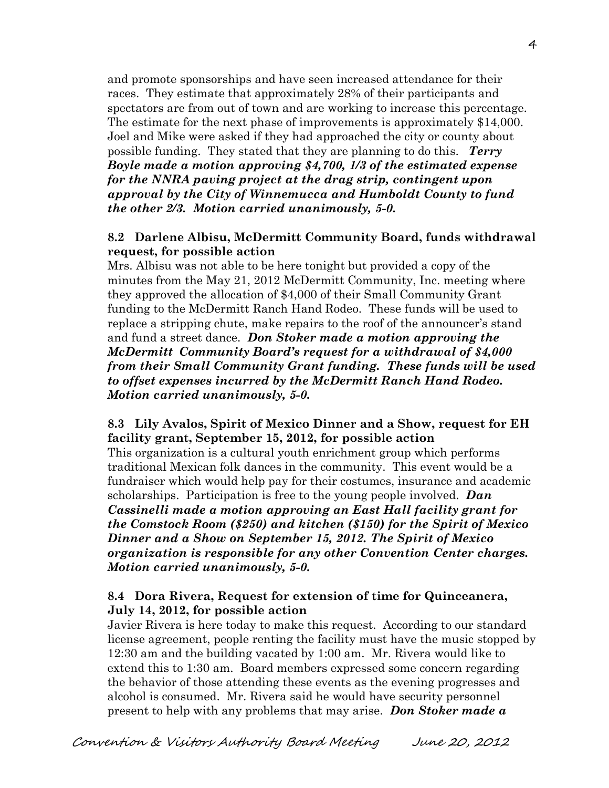and promote sponsorships and have seen increased attendance for their races. They estimate that approximately 28% of their participants and spectators are from out of town and are working to increase this percentage. The estimate for the next phase of improvements is approximately \$14,000. Joel and Mike were asked if they had approached the city or county about possible funding. They stated that they are planning to do this. *Terry Boyle made a motion approving \$4,700, 1/3 of the estimated expense for the NNRA paving project at the drag strip, contingent upon approval by the City of Winnemucca and Humboldt County to fund the other 2/3. Motion carried unanimously, 5-0.*

### **8.2 Darlene Albisu, McDermitt Community Board, funds withdrawal request, for possible action**

Mrs. Albisu was not able to be here tonight but provided a copy of the minutes from the May 21, 2012 McDermitt Community, Inc. meeting where they approved the allocation of \$4,000 of their Small Community Grant funding to the McDermitt Ranch Hand Rodeo. These funds will be used to replace a stripping chute, make repairs to the roof of the announcer's stand and fund a street dance. *Don Stoker made a motion approving the McDermitt Community Board's request for a withdrawal of \$4,000 from their Small Community Grant funding. These funds will be used to offset expenses incurred by the McDermitt Ranch Hand Rodeo. Motion carried unanimously, 5-0.* 

### **8.3 Lily Avalos, Spirit of Mexico Dinner and a Show, request for EH facility grant, September 15, 2012, for possible action**

This organization is a cultural youth enrichment group which performs traditional Mexican folk dances in the community. This event would be a fundraiser which would help pay for their costumes, insurance and academic scholarships. Participation is free to the young people involved. *Dan Cassinelli made a motion approving an East Hall facility grant for the Comstock Room (\$250) and kitchen (\$150) for the Spirit of Mexico Dinner and a Show on September 15, 2012. The Spirit of Mexico organization is responsible for any other Convention Center charges. Motion carried unanimously, 5-0.* 

### **8.4 Dora Rivera, Request for extension of time for Quinceanera, July 14, 2012, for possible action**

Javier Rivera is here today to make this request. According to our standard license agreement, people renting the facility must have the music stopped by 12:30 am and the building vacated by 1:00 am. Mr. Rivera would like to extend this to 1:30 am. Board members expressed some concern regarding the behavior of those attending these events as the evening progresses and alcohol is consumed. Mr. Rivera said he would have security personnel present to help with any problems that may arise. *Don Stoker made a*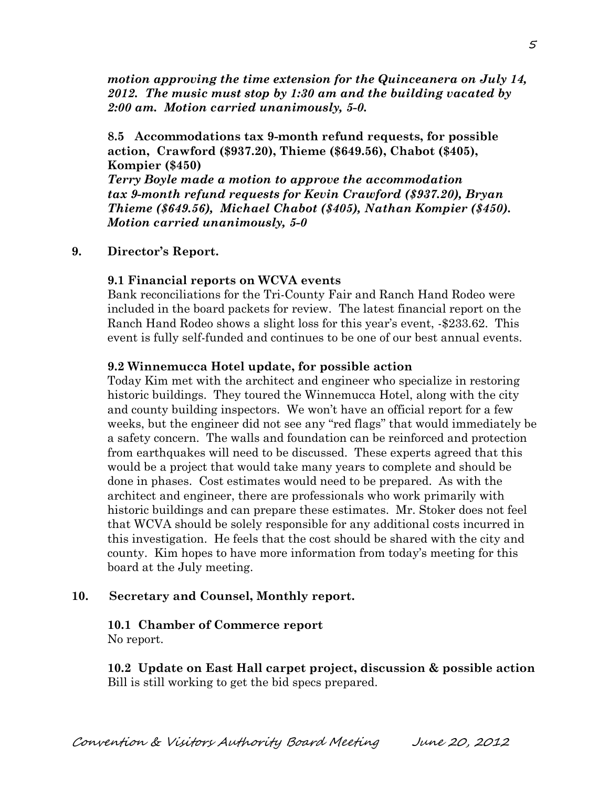*motion approving the time extension for the Quinceanera on July 14, 2012. The music must stop by 1:30 am and the building vacated by 2:00 am. Motion carried unanimously, 5-0.* 

**8.5 Accommodations tax 9-month refund requests, for possible action, Crawford (\$937.20), Thieme (\$649.56), Chabot (\$405), Kompier (\$450)**

*Terry Boyle made a motion to approve the accommodation tax 9-month refund requests for Kevin Crawford (\$937.20), Bryan Thieme (\$649.56), Michael Chabot (\$405), Nathan Kompier (\$450). Motion carried unanimously, 5-0*

#### **9. Director's Report.**

#### **9.1 Financial reports on WCVA events**

Bank reconciliations for the Tri-County Fair and Ranch Hand Rodeo were included in the board packets for review. The latest financial report on the Ranch Hand Rodeo shows a slight loss for this year's event, -\$233.62. This event is fully self-funded and continues to be one of our best annual events.

#### **9.2 Winnemucca Hotel update, for possible action**

Today Kim met with the architect and engineer who specialize in restoring historic buildings. They toured the Winnemucca Hotel, along with the city and county building inspectors. We won't have an official report for a few weeks, but the engineer did not see any "red flags" that would immediately be a safety concern. The walls and foundation can be reinforced and protection from earthquakes will need to be discussed. These experts agreed that this would be a project that would take many years to complete and should be done in phases. Cost estimates would need to be prepared. As with the architect and engineer, there are professionals who work primarily with historic buildings and can prepare these estimates. Mr. Stoker does not feel that WCVA should be solely responsible for any additional costs incurred in this investigation. He feels that the cost should be shared with the city and county. Kim hopes to have more information from today's meeting for this board at the July meeting.

#### **10. Secretary and Counsel, Monthly report.**

#### **10.1 Chamber of Commerce report** No report.

**10.2 Update on East Hall carpet project, discussion & possible action** Bill is still working to get the bid specs prepared.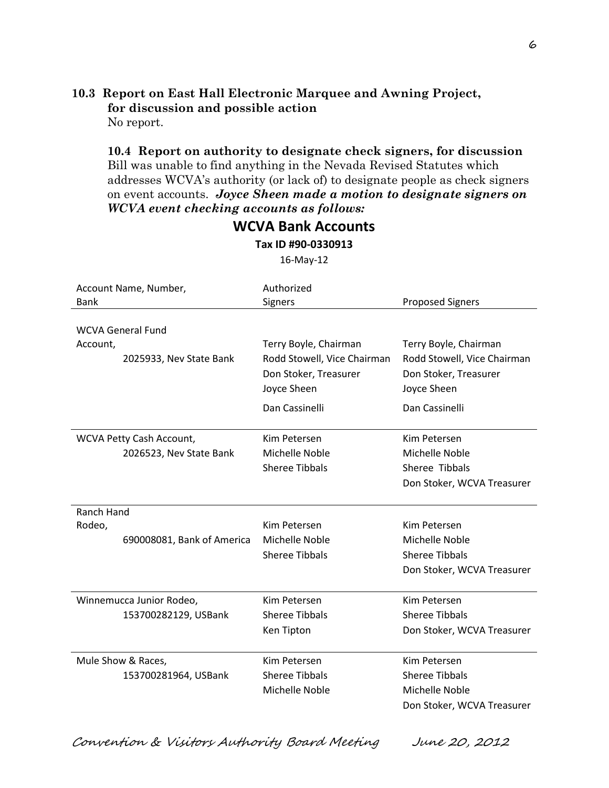#### **10.3 Report on East Hall Electronic Marquee and Awning Project, for discussion and possible action** No report.

**10.4 Report on authority to designate check signers, for discussion** Bill was unable to find anything in the Nevada Revised Statutes which addresses WCVA's authority (or lack of) to designate people as check signers on event accounts. *Joyce Sheen made a motion to designate signers on WCVA event checking accounts as follows:*

| Account Name, Number,<br><b>Bank</b> | Authorized<br>Signers                   | <b>Proposed Signers</b>                 |
|--------------------------------------|-----------------------------------------|-----------------------------------------|
| <b>WCVA General Fund</b>             |                                         |                                         |
| Account,                             | Terry Boyle, Chairman                   | Terry Boyle, Chairman                   |
| 2025933, Nev State Bank              | Rodd Stowell, Vice Chairman             | Rodd Stowell, Vice Chairman             |
|                                      | Don Stoker, Treasurer                   | Don Stoker, Treasurer                   |
|                                      | Joyce Sheen                             | Joyce Sheen                             |
|                                      | Dan Cassinelli                          | Dan Cassinelli                          |
| WCVA Petty Cash Account,             | Kim Petersen                            | Kim Petersen                            |
| 2026523, Nev State Bank              | Michelle Noble                          | Michelle Noble                          |
|                                      | <b>Sheree Tibbals</b>                   | Sheree Tibbals                          |
|                                      |                                         | Don Stoker, WCVA Treasurer              |
|                                      |                                         |                                         |
| <b>Ranch Hand</b>                    |                                         |                                         |
| Rodeo,                               | Kim Petersen                            | Kim Petersen                            |
| 690008081, Bank of America           | Michelle Noble<br><b>Sheree Tibbals</b> | Michelle Noble<br><b>Sheree Tibbals</b> |
|                                      |                                         | Don Stoker, WCVA Treasurer              |
|                                      |                                         |                                         |
| Winnemucca Junior Rodeo,             | Kim Petersen                            | Kim Petersen                            |
| 153700282129, USBank                 | <b>Sheree Tibbals</b>                   | <b>Sheree Tibbals</b>                   |
|                                      | Ken Tipton                              | Don Stoker, WCVA Treasurer              |
| Mule Show & Races,                   | Kim Petersen                            | Kim Petersen                            |
| 153700281964, USBank                 | <b>Sheree Tibbals</b>                   | <b>Sheree Tibbals</b>                   |
|                                      | Michelle Noble                          | Michelle Noble                          |
|                                      |                                         | Don Stoker, WCVA Treasurer              |
|                                      |                                         |                                         |

**Tax ID #90-0330913** 16-May-12

**WCVA Bank Accounts**

Convention & Visitors Authority Board Meeting June 20, 2012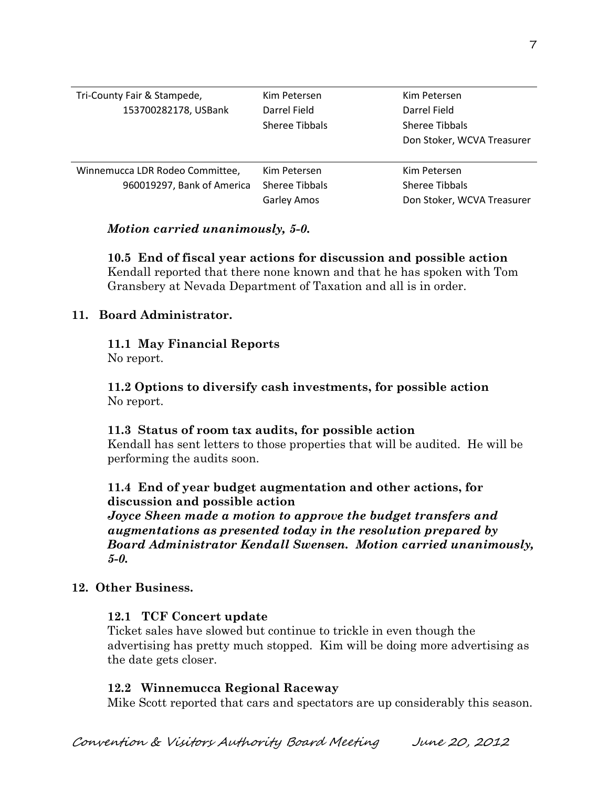| Tri-County Fair & Stampede,<br>153700282178, USBank           | Kim Petersen<br>Darrel Field<br>Sheree Tibbals       | Kim Petersen<br>Darrel Field<br>Sheree Tibbals               |
|---------------------------------------------------------------|------------------------------------------------------|--------------------------------------------------------------|
|                                                               |                                                      | Don Stoker, WCVA Treasurer                                   |
| Winnemucca LDR Rodeo Committee,<br>960019297, Bank of America | Kim Petersen<br>Sheree Tibbals<br><b>Garley Amos</b> | Kim Petersen<br>Sheree Tibbals<br>Don Stoker, WCVA Treasurer |

### *Motion carried unanimously, 5-0.*

### **10.5 End of fiscal year actions for discussion and possible action**

Kendall reported that there none known and that he has spoken with Tom Gransbery at Nevada Department of Taxation and all is in order.

### **11. Board Administrator.**

# **11.1 May Financial Reports**

No report.

### **11.2 Options to diversify cash investments, for possible action** No report.

### **11.3 Status of room tax audits, for possible action**

Kendall has sent letters to those properties that will be audited. He will be performing the audits soon.

# **11.4 End of year budget augmentation and other actions, for discussion and possible action**

*Joyce Sheen made a motion to approve the budget transfers and augmentations as presented today in the resolution prepared by Board Administrator Kendall Swensen. Motion carried unanimously, 5-0.*

### **12. Other Business.**

# **12.1 TCF Concert update**

Ticket sales have slowed but continue to trickle in even though the advertising has pretty much stopped. Kim will be doing more advertising as the date gets closer.

# **12.2 Winnemucca Regional Raceway**

Mike Scott reported that cars and spectators are up considerably this season.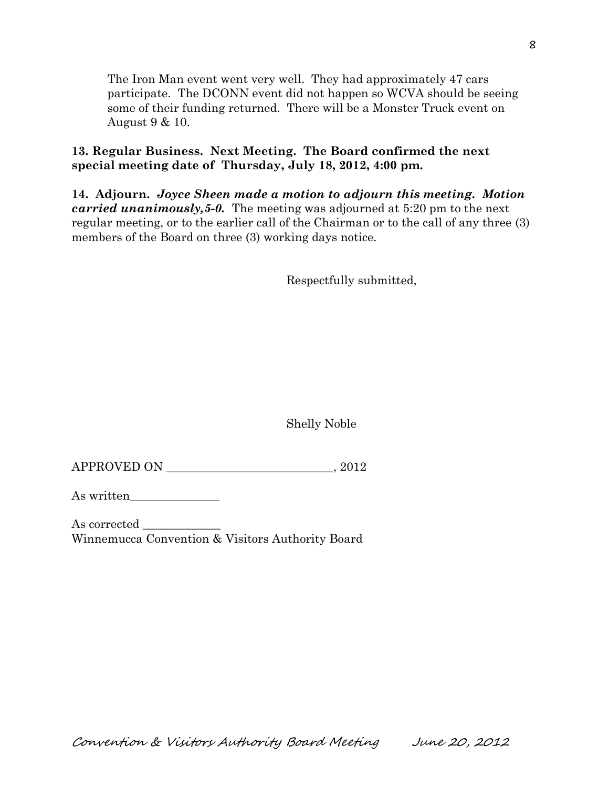The Iron Man event went very well. They had approximately 47 cars participate. The DCONN event did not happen so WCVA should be seeing some of their funding returned. There will be a Monster Truck event on August 9 & 10.

**13. Regular Business. Next Meeting. The Board confirmed the next special meeting date of Thursday, July 18, 2012, 4:00 pm.** 

**14. Adjourn.** *Joyce Sheen made a motion to adjourn this meeting. Motion carried unanimously,5-0.* The meeting was adjourned at 5:20 pm to the next regular meeting, or to the earlier call of the Chairman or to the call of any three (3) members of the Board on three (3) working days notice.

Respectfully submitted,

Shelly Noble

APPROVED ON \_\_\_\_\_\_\_\_\_\_\_\_\_\_\_\_\_\_\_\_\_\_\_\_\_\_\_\_, 2012

As written\_\_\_\_\_\_\_\_\_\_\_\_\_\_\_

As corrected Winnemucca Convention & Visitors Authority Board